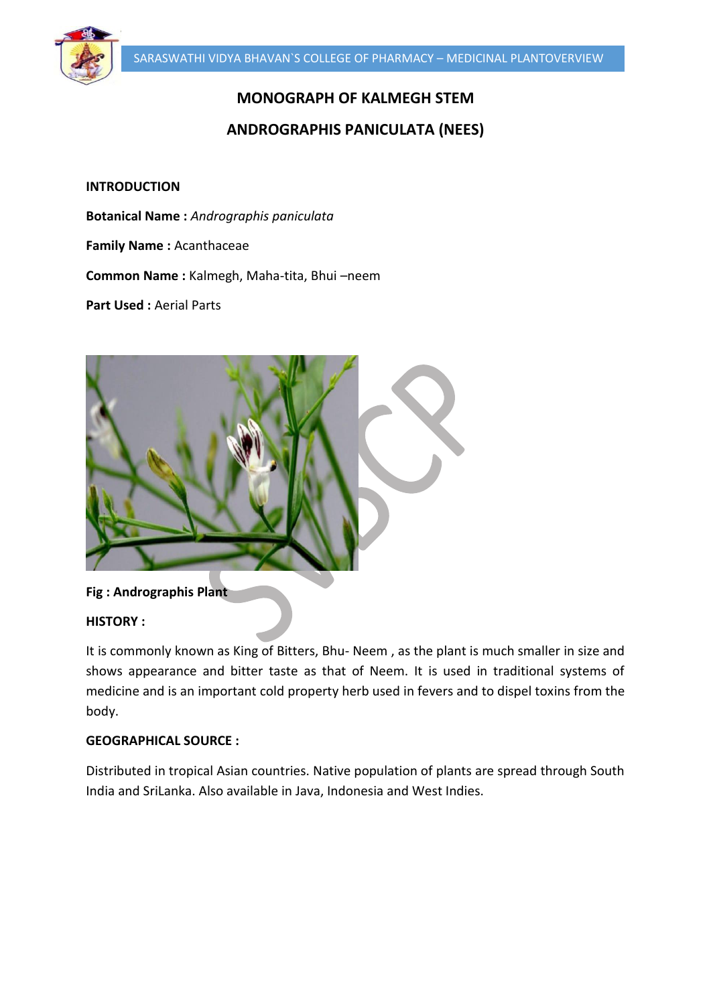

# **MONOGRAPH OF KALMEGH STEM**

## **ANDROGRAPHIS PANICULATA (NEES)**

#### **INTRODUCTION**

**Botanical Name :** *Andrographis paniculata*

**Family Name :** Acanthaceae

**Common Name :** Kalmegh, Maha-tita, Bhui –neem

**Part Used :** Aerial Parts



**Fig : Andrographis Plant**

## **HISTORY :**

It is commonly known as King of Bitters, Bhu- Neem , as the plant is much smaller in size and shows appearance and bitter taste as that of Neem. It is used in traditional systems of medicine and is an important cold property herb used in fevers and to dispel toxins from the body.

## **GEOGRAPHICAL SOURCE :**

Distributed in tropical Asian countries. Native population of plants are spread through South India and SriLanka. Also available in Java, Indonesia and West Indies.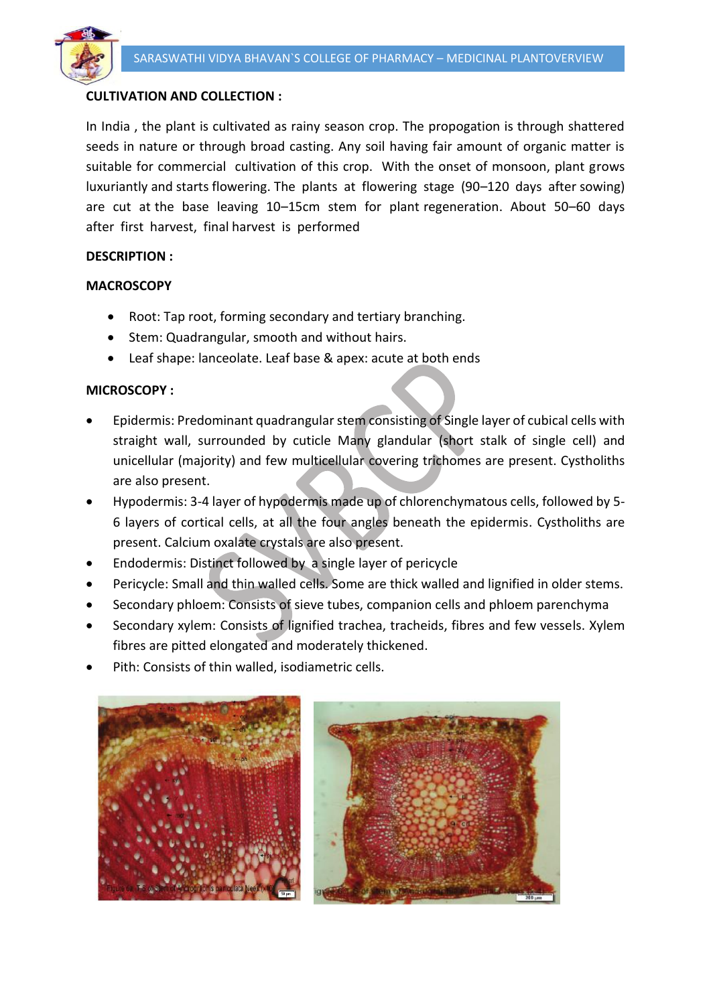

## **CULTIVATION AND COLLECTION :**

In India , the plant is cultivated as rainy season crop. The propogation is through shattered seeds in nature or through broad casting. Any soil having fair amount of organic matter is suitable for commercial cultivation of this crop. With the onset of monsoon, plant grows luxuriantly and starts flowering. The plants at flowering stage (90–120 days after sowing) are cut at the base leaving 10–15cm stem for plant regeneration. About 50–60 days after first harvest, final harvest is performed

## **DESCRIPTION :**

## **MACROSCOPY**

- Root: Tap root, forming secondary and tertiary branching.
- Stem: Quadrangular, smooth and without hairs.
- Leaf shape: lanceolate. Leaf base & apex: acute at both ends

## **MICROSCOPY :**

- Epidermis: Predominant quadrangular stem consisting of Single layer of cubical cells with straight wall, surrounded by cuticle Many glandular (short stalk of single cell) and unicellular (majority) and few multicellular covering trichomes are present. Cystholiths are also present.
- Hypodermis: 3-4 layer of hypodermis made up of chlorenchymatous cells, followed by 5- 6 layers of cortical cells, at all the four angles beneath the epidermis. Cystholiths are present. Calcium oxalate crystals are also present.
- Endodermis: Distinct followed by a single layer of pericycle
- Pericycle: Small and thin walled cells. Some are thick walled and lignified in older stems.
- Secondary phloem: Consists of sieve tubes, companion cells and phloem parenchyma
- Secondary xylem: Consists of lignified trachea, tracheids, fibres and few vessels. Xylem fibres are pitted elongated and moderately thickened.
- Pith: Consists of thin walled, isodiametric cells.



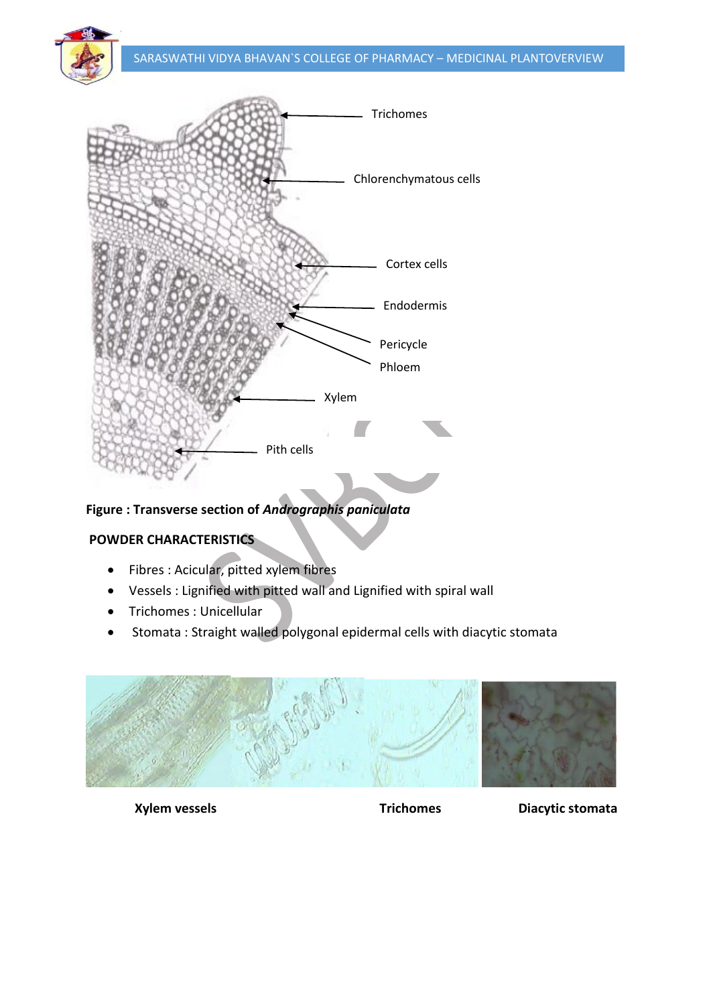



**Figure : Transverse section of** *Andrographis paniculata* 

## **POWDER CHARACTERISTICS**

- Fibres : Acicular, pitted xylem fibres
- Vessels : Lignified with pitted wall and Lignified with spiral wall
- Trichomes : Unicellular
- Stomata : Straight walled polygonal epidermal cells with diacytic stomata



 **Xylem vessels Trichomes** Diacytic stomata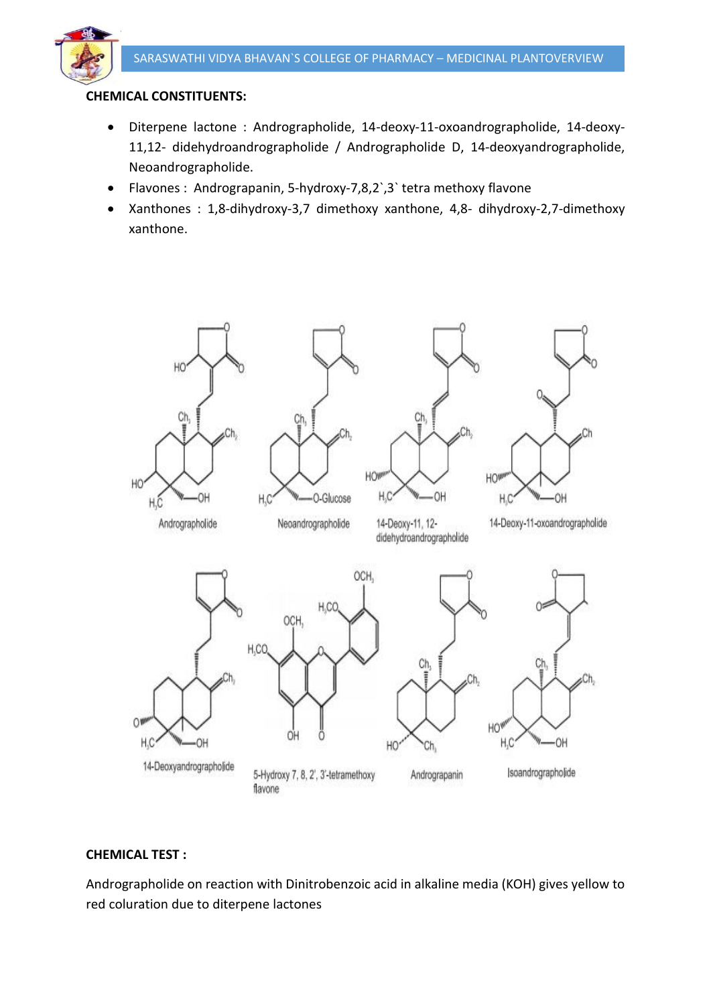

## **CHEMICAL CONSTITUENTS:**

- Diterpene lactone : Andrographolide, 14-deoxy-11-oxoandrographolide, 14-deoxy-11,12- didehydroandrographolide / Andrographolide D, 14-deoxyandrographolide, Neoandrographolide.
- Flavones : Andrograpanin, 5-hydroxy-7,8,2`,3` tetra methoxy flavone
- Xanthones : 1,8-dihydroxy-3,7 dimethoxy xanthone, 4,8- dihydroxy-2,7-dimethoxy xanthone.



## **CHEMICAL TEST :**

Andrographolide on reaction with Dinitrobenzoic acid in alkaline media (KOH) gives yellow to red coluration due to diterpene lactones